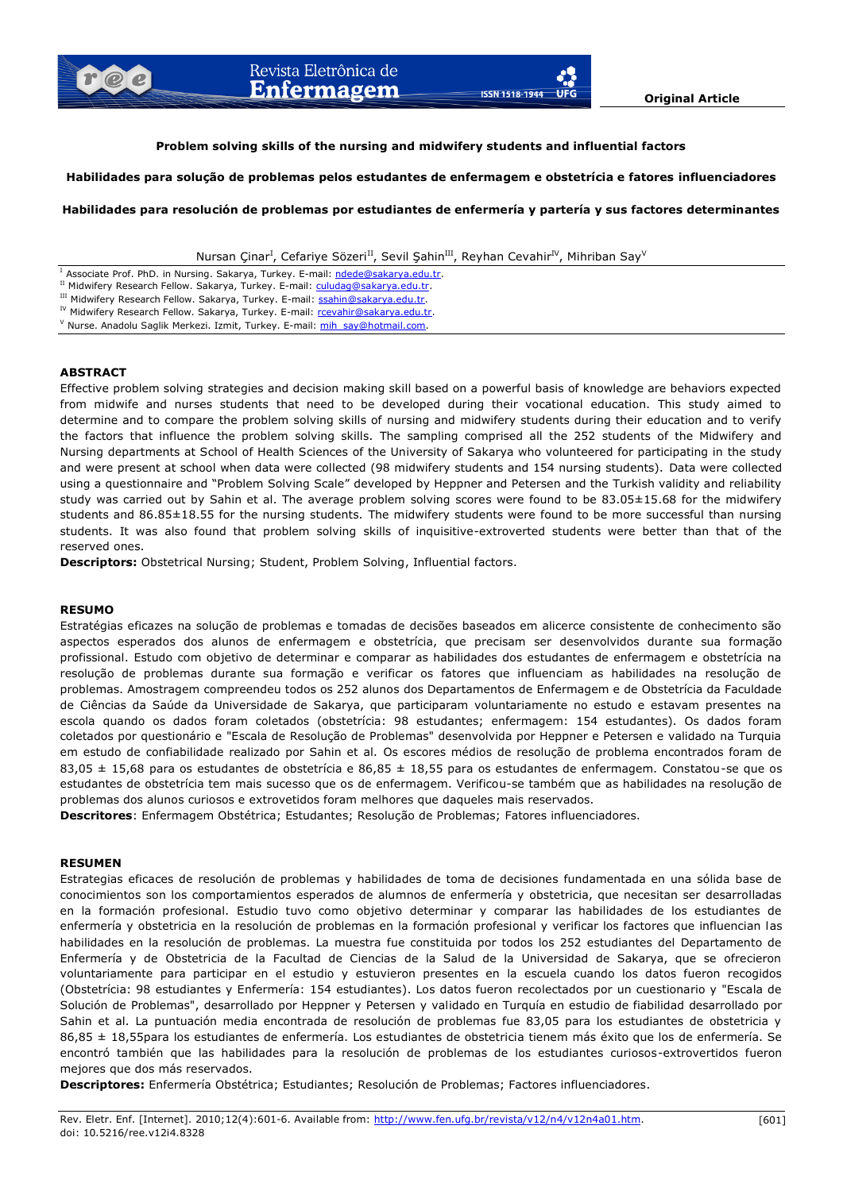# **Problem solving skills of the nursing and midwifery students and influential factors**

### **Habilidades para solução de problemas pelos estudantes de enfermagem e obstetrícia e fatores influenciadores**

**Habilidades para resolución de problemas por estudiantes de enfermería y partería y sus factores determinantes**

Nursan Çinar<sup>I</sup>, Cefariye Sözeri<sup>II</sup>, Sevil Şahin<sup>III</sup>, Reyhan Cevahir<sup>IV</sup>, Mihriban Say<sup>V</sup>

<sup>I</sup> Associate Prof. PhD. in Nursing. Sakarya, Turkey. E-mail: [ndede@sakarya.edu.tr.](mailto:ndede@sakarya.edu.tr)

III Midwifery Research Fellow. Sakarya, Turkey. E-mail: [ssahin@sakarya.edu.tr.](mailto:ssahin@sakarya.edu.tr)

IV Midwifery Research Fellow. Sakarya, Turkey. E-mail: [rcevahir@sakarya.edu.tr.](mailto:rcevahir@sakarya.edu.tr)

<sup>V</sup> Nurse. Anadolu Saglik Merkezi. Izmit, Turkey. E-mail: [mih\\_say@hotmail.com.](mailto:mih_say@hotmail.com)

### **ABSTRACT**

Effective problem solving strategies and decision making skill based on a powerful basis of knowledge are behaviors expected from midwife and nurses students that need to be developed during their vocational education. This study aimed to determine and to compare the problem solving skills of nursing and midwifery students during their education and to verify the factors that influence the problem solving skills. The sampling comprised all the 252 students of the Midwifery and Nursing departments at School of Health Sciences of the University of Sakarya who volunteered for participating in the study and were present at school when data were collected (98 midwifery students and 154 nursing students). Data were collected using a questionnaire and "Problem Solving Scale" developed by Heppner and Petersen and the Turkish validity and reliability study was carried out by Sahin et al. The average problem solving scores were found to be 83.05±15.68 for the midwifery students and 86.85±18.55 for the nursing students. The midwifery students were found to be more successful than nursing students. It was also found that problem solving skills of inquisitive-extroverted students were better than that of the reserved ones.

**Descriptors:** Obstetrical Nursing; Student, Problem Solving, Influential factors.

### **RESUMO**

Estratégias eficazes na solução de problemas e tomadas de decisões baseados em alicerce consistente de conhecimento são aspectos esperados dos alunos de enfermagem e obstetrícia, que precisam ser desenvolvidos durante sua formação profissional. Estudo com objetivo de determinar e comparar as habilidades dos estudantes de enfermagem e obstetrícia na resolução de problemas durante sua formação e verificar os fatores que influenciam as habilidades na resolução de problemas. Amostragem compreendeu todos os 252 alunos dos Departamentos de Enfermagem e de Obstetrícia da Faculdade de Ciências da Saúde da Universidade de Sakarya, que participaram voluntariamente no estudo e estavam presentes na escola quando os dados foram coletados (obstetrícia: 98 estudantes; enfermagem: 154 estudantes). Os dados foram coletados por questionário e "Escala de Resolução de Problemas" desenvolvida por Heppner e Petersen e validado na Turquia em estudo de confiabilidade realizado por Sahin et al. Os escores médios de resolução de problema encontrados foram de 83,05  $\pm$  15,68 para os estudantes de obstetrícia e 86,85  $\pm$  18,55 para os estudantes de enfermagem. Constatou-se que os estudantes de obstetrícia tem mais sucesso que os de enfermagem. Verificou-se também que as habilidades na resolução de problemas dos alunos curiosos e extrovetidos foram melhores que daqueles mais reservados.

**Descritores**: Enfermagem Obstétrica; Estudantes; Resolução de Problemas; Fatores influenciadores.

### **RESUMEN**

Estrategias eficaces de resolución de problemas y habilidades de toma de decisiones fundamentada en una sólida base de conocimientos son los comportamientos esperados de alumnos de enfermería y obstetricia, que necesitan ser desarrolladas en la formación profesional. Estudio tuvo como objetivo determinar y comparar las habilidades de los estudiantes de enfermería y obstetricia en la resolución de problemas en la formación profesional y verificar los factores que influencian las habilidades en la resolución de problemas. La muestra fue constituida por todos los 252 estudiantes del Departamento de Enfermería y de Obstetricia de la Facultad de Ciencias de la Salud de la Universidad de Sakarya, que se ofrecieron voluntariamente para participar en el estudio y estuvieron presentes en la escuela cuando los datos fueron recogidos (Obstetrícia: 98 estudiantes y Enfermería: 154 estudiantes). Los datos fueron recolectados por un cuestionario y "Escala de Solución de Problemas", desarrollado por Heppner y Petersen y validado en Turquía en estudio de fiabilidad desarrollado por Sahin et al. La puntuación media encontrada de resolución de problemas fue 83,05 para los estudiantes de obstetricia y 86,85 ± 18,55para los estudiantes de enfermería. Los estudiantes de obstetricia tienem más éxito que los de enfermería. Se encontró también que las habilidades para la resolución de problemas de los estudiantes curiosos-extrovertidos fueron mejores que dos más reservados.

**Descriptores:** Enfermería Obstétrica; Estudiantes; Resolución de Problemas; Factores influenciadores.

II Midwifery Research Fellow. Sakarya, Turkey. E-mail: [culudag@sakarya.edu.tr.](mailto:culudag@sakarya.edu.tr)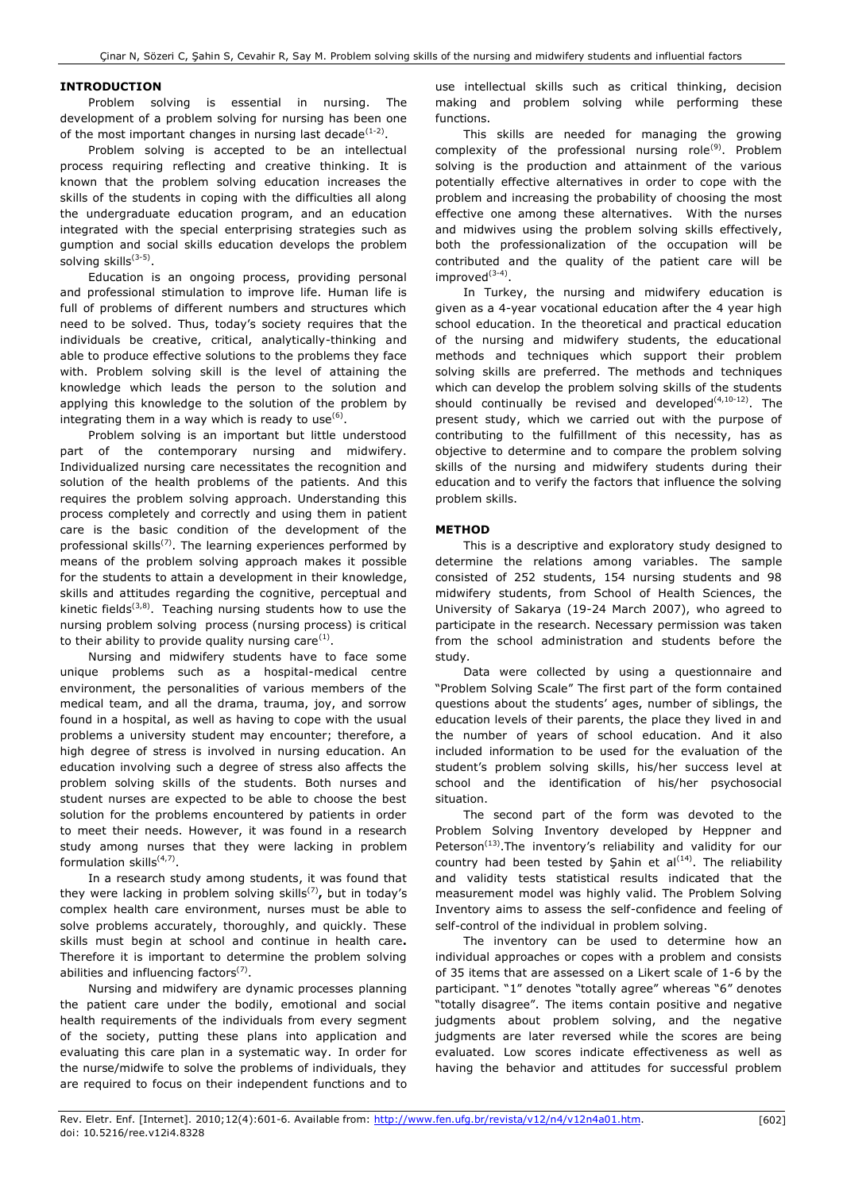# **INTRODUCTION**

Problem solving is essential in nursing. The development of a problem solving for nursing has been one of the most important changes in nursing last decade $(1-2)$ .

Problem solving is accepted to be an intellectual process requiring reflecting and creative thinking. It is known that the problem solving education increases the skills of the students in coping with the difficulties all along the undergraduate education program, and an education integrated with the special enterprising strategies such as gumption and social skills education develops the problem solving skills<sup>(3-5)</sup>.

Education is an ongoing process, providing personal and professional stimulation to improve life. Human life is full of problems of different numbers and structures which need to be solved. Thus, today's society requires that the individuals be creative, critical, analytically-thinking and able to produce effective solutions to the problems they face with. Problem solving skill is the level of attaining the knowledge which leads the person to the solution and applying this knowledge to the solution of the problem by integrating them in a way which is ready to use<sup>(6)</sup>.

Problem solving is an important but little understood part of the contemporary nursing and midwifery. Individualized nursing care necessitates the recognition and solution of the health problems of the patients. And this requires the problem solving approach. Understanding this process completely and correctly and using them in patient care is the basic condition of the development of the professional skills<sup>(7)</sup>. The learning experiences performed by means of the problem solving approach makes it possible for the students to attain a development in their knowledge, skills and attitudes regarding the cognitive, perceptual and kinetic fields<sup>(3,8)</sup>. Teaching nursing students how to use the nursing problem solving process (nursing process) is critical to their ability to provide quality nursing care<sup>(1)</sup>.

Nursing and midwifery students have to face some unique problems such as a hospital-medical centre environment, the personalities of various members of the medical team, and all the drama, trauma, joy, and sorrow found in a hospital, as well as having to cope with the usual problems a university student may encounter; therefore, a high degree of stress is involved in nursing education. An education involving such a degree of stress also affects the problem solving skills of the students. Both nurses and student nurses are expected to be able to choose the best solution for the problems encountered by patients in order to meet their needs. However, it was found in a research study among nurses that they were lacking in problem formulation skills<sup>(4,7)</sup>.

In a research study among students, it was found that they were lacking in problem solving skills(7) **,** but in today"s complex health care environment, nurses must be able to solve problems accurately, thoroughly, and quickly. These skills must begin at school and continue in health care**.**  Therefore it is important to determine the problem solving abilities and influencing factors $(7)$ .

Nursing and midwifery are dynamic processes planning the patient care under the bodily, emotional and social health requirements of the individuals from every segment of the society, putting these plans into application and evaluating this care plan in a systematic way. In order for the nurse/midwife to solve the problems of individuals, they are required to focus on their independent functions and to use intellectual skills such as critical thinking, decision making and problem solving while performing these functions.

This skills are needed for managing the growing complexity of the professional nursing role<sup>(9)</sup>. Problem solving is the production and attainment of the various potentially effective alternatives in order to cope with the problem and increasing the probability of choosing the most effective one among these alternatives. With the nurses and midwives using the problem solving skills effectively, both the professionalization of the occupation will be contributed and the quality of the patient care will be improved<sup>(3-4)</sup>.

In Turkey, the nursing and midwifery education is given as a 4-year vocational education after the 4 year high school education. In the theoretical and practical education of the nursing and midwifery students, the educational methods and techniques which support their problem solving skills are preferred. The methods and techniques which can develop the problem solving skills of the students should continually be revised and developed $(4,10-12)$ . The present study, which we carried out with the purpose of contributing to the fulfillment of this necessity, has as objective to determine and to compare the problem solving skills of the nursing and midwifery students during their education and to verify the factors that influence the solving problem skills.

# **METHOD**

This is a descriptive and exploratory study designed to determine the relations among variables. The sample consisted of 252 students, 154 nursing students and 98 midwifery students, from School of Health Sciences, the University of Sakarya (19-24 March 2007), who agreed to participate in the research. Necessary permission was taken from the school administration and students before the study*.*

Data were collected by using a questionnaire and "Problem Solving Scale" The first part of the form contained questions about the students' ages, number of siblings, the education levels of their parents, the place they lived in and the number of years of school education. And it also included information to be used for the evaluation of the student"s problem solving skills, his/her success level at school and the identification of his/her psychosocial situation.

The second part of the form was devoted to the Problem Solving Inventory developed by Heppner and Peterson<sup>(13)</sup>. The inventory's reliability and validity for our country had been tested by Şahin et al<sup>(14)</sup>. The reliability and validity tests statistical results indicated that the measurement model was highly valid. The Problem Solving Inventory aims to assess the self-confidence and feeling of self-control of the individual in problem solving.

The inventory can be used to determine how an individual approaches or copes with a problem and consists of 35 items that are assessed on a Likert scale of 1-6 by the participant. "1" denotes "totally agree" whereas "6" denotes "totally disagree". The items contain positive and negative judgments about problem solving, and the negative judgments are later reversed while the scores are being evaluated. Low scores indicate effectiveness as well as having the behavior and attitudes for successful problem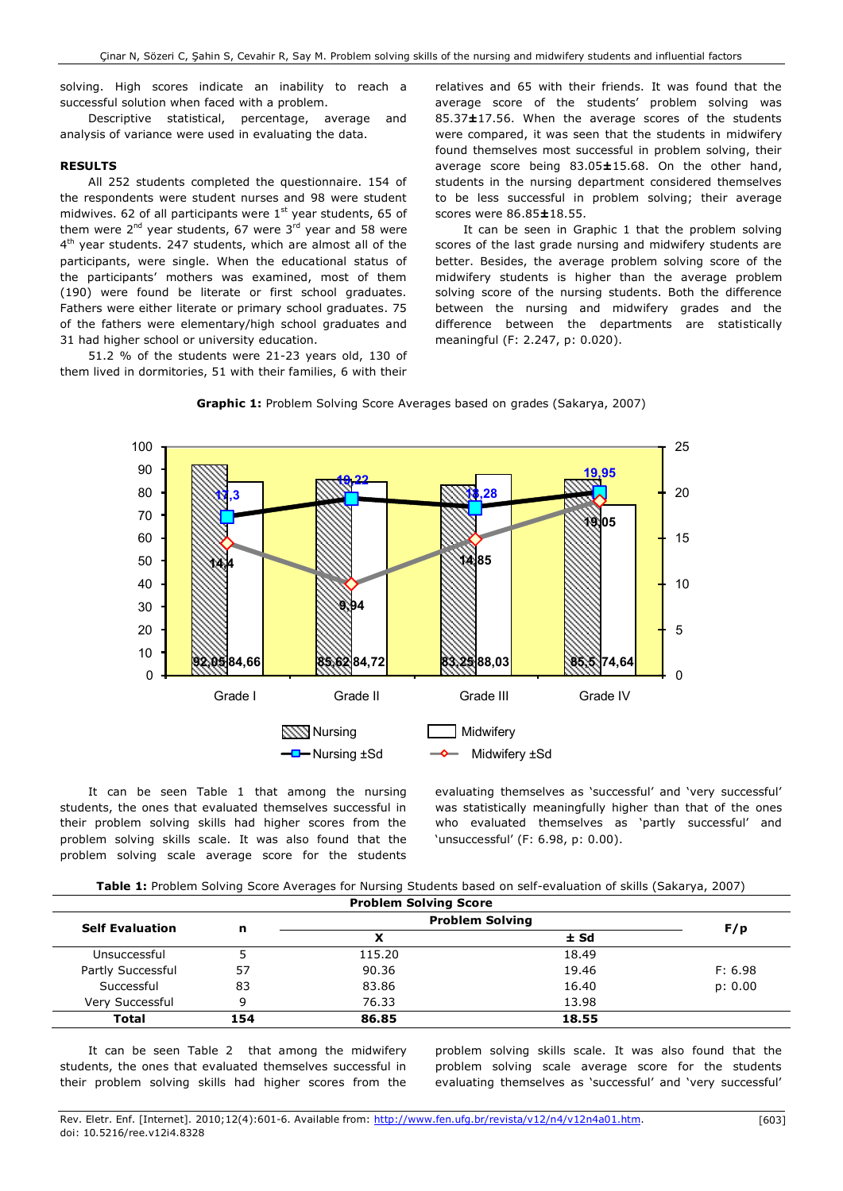solving. High scores indicate an inability to reach a successful solution when faced with a problem.

Descriptive statistical, percentage, average and analysis of variance were used in evaluating the data.

# **RESULTS**

All 252 students completed the questionnaire. 154 of the respondents were student nurses and 98 were student midwives. 62 of all participants were  $1<sup>st</sup>$  year students, 65 of them were  $2^{nd}$  year students, 67 were  $3^{rd}$  year and 58 were 4<sup>th</sup> year students. 247 students, which are almost all of the participants, were single. When the educational status of the participants' mothers was examined, most of them (190) were found be literate or first school graduates. Fathers were either literate or primary school graduates. 75 of the fathers were elementary/high school graduates and 31 had higher school or university education.

51.2 % of the students were 21-23 years old, 130 of them lived in dormitories, 51 with their families, 6 with their

relatives and 65 with their friends. It was found that the average score of the students' problem solving was 85.37**±**17.56. When the average scores of the students were compared, it was seen that the students in midwifery found themselves most successful in problem solving, their average score being 83.05**±**15.68. On the other hand, students in the nursing department considered themselves to be less successful in problem solving; their average scores were 86.85**±**18.55.

It can be seen in Graphic 1 that the problem solving scores of the last grade nursing and midwifery students are better. Besides, the average problem solving score of the midwifery students is higher than the average problem solving score of the nursing students. Both the difference between the nursing and midwifery grades and the difference between the departments are statistically meaningful (F: 2.247, p: 0.020).





It can be seen Table 1 that among the nursing students, the ones that evaluated themselves successful in their problem solving skills had higher scores from the problem solving skills scale. It was also found that the problem solving scale average score for the students evaluating themselves as 'successful' and 'very successful' was statistically meaningfully higher than that of the ones who evaluated themselves as 'partly successful' and 'unsuccessful' (F: 6.98, p: 0.00).

| <b>Problem Solving Score</b> |     |                        |        |         |  |
|------------------------------|-----|------------------------|--------|---------|--|
| <b>Self Evaluation</b>       |     | <b>Problem Solving</b> |        |         |  |
|                              | n   |                        | $±$ Sd | F/p     |  |
| Unsuccessful                 |     | 115.20                 | 18.49  |         |  |
| Partly Successful            | 57  | 90.36                  | 19.46  | F: 6.98 |  |
| Successful                   | 83  | 83.86                  | 16.40  | p: 0.00 |  |
| Verv Successful              | a   | 76.33                  | 13.98  |         |  |
| <b>Total</b>                 | 154 | 86.85                  | 18.55  |         |  |

It can be seen Table 2 that among the midwifery students, the ones that evaluated themselves successful in their problem solving skills had higher scores from the

problem solving skills scale. It was also found that the problem solving scale average score for the students evaluating themselves as 'successful' and 'very successful'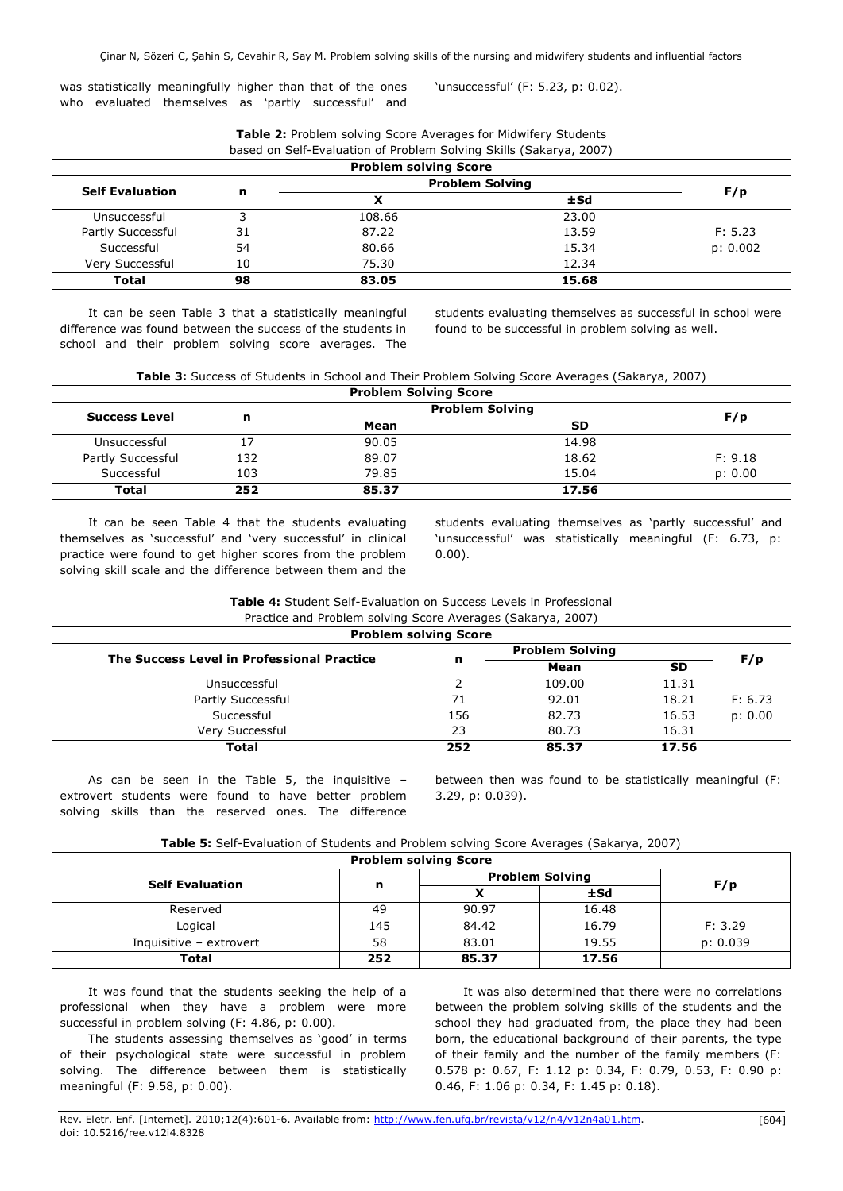**Table 2:** Problem solving Score Averages for Midwifery Students

was statistically meaningfully higher than that of the ones who evaluated themselves as 'partly successful' and 'unsuccessful' (F: 5.23, p: 0.02).

| <b>Problem solving Score</b> |    |                        |        |          |  |  |
|------------------------------|----|------------------------|--------|----------|--|--|
|                              |    | <b>Problem Solving</b> |        |          |  |  |
| <b>Self Evaluation</b>       | n  | x                      | $±$ Sd | F/p      |  |  |
| Unsuccessful                 |    | 108.66                 | 23.00  |          |  |  |
| Partly Successful            | 31 | 87.22                  | 13.59  | F: 5.23  |  |  |
| Successful                   | 54 | 80.66                  | 15.34  | p: 0.002 |  |  |
| Very Successful              | 10 | 75.30                  | 12.34  |          |  |  |
| Total                        | 98 | 83.05                  | 15.68  |          |  |  |

It can be seen Table 3 that a statistically meaningful difference was found between the success of the students in school and their problem solving score averages. The students evaluating themselves as successful in school were found to be successful in problem solving as well.

**Table 3:** Success of Students in School and Their Problem Solving Score Averages (Sakarya, 2007)

| <b>Problem Solving Score</b> |     |                        |           |         |  |
|------------------------------|-----|------------------------|-----------|---------|--|
| <b>Success Level</b>         |     | <b>Problem Solving</b> |           |         |  |
|                              | n   | Mean                   | <b>SD</b> | F/p     |  |
| Unsuccessful                 |     | 90.05                  | 14.98     |         |  |
| Partly Successful            | 132 | 89.07                  | 18.62     | F: 9.18 |  |
| Successful                   | 103 | 79.85                  | 15.04     | p: 0.00 |  |
| Total                        | 252 | 85.37                  | 17.56     |         |  |

It can be seen Table 4 that the students evaluating themselves as "successful" and "very successful" in clinical practice were found to get higher scores from the problem solving skill scale and the difference between them and the

students evaluating themselves as "partly successful" and 'unsuccessful' was statistically meaningful (F: 6.73, p: 0.00).

| <b>Table 4:</b> Student Self-Evaluation on Success Levels in Professional |
|---------------------------------------------------------------------------|
| Practice and Problem solving Score Averages (Sakarya, 2007)               |

|                                            | <b>Problem solving Score</b> |                        |           |         |  |  |  |
|--------------------------------------------|------------------------------|------------------------|-----------|---------|--|--|--|
|                                            | n                            | <b>Problem Solving</b> |           |         |  |  |  |
| The Success Level in Professional Practice |                              | Mean                   | <b>SD</b> | F/p     |  |  |  |
| Unsuccessful                               |                              | 109.00                 | 11.31     |         |  |  |  |
| Partly Successful                          | 71                           | 92.01                  | 18.21     | F: 6.73 |  |  |  |
| Successful                                 | 156                          | 82.73                  | 16.53     | p: 0.00 |  |  |  |
| Very Successful                            | 23                           | 80.73                  | 16.31     |         |  |  |  |
| <b>Total</b>                               | 252                          | 85.37                  | 17.56     |         |  |  |  |

As can be seen in the Table 5, the inquisitive  $$ extrovert students were found to have better problem solving skills than the reserved ones. The difference between then was found to be statistically meaningful (F: 3.29, p: 0.039).

| <b>Table 5:</b> Self-Evaluation of Students and Problem solving Score Averages (Sakarya, 2007) |  |  |  |
|------------------------------------------------------------------------------------------------|--|--|--|
|                                                                                                |  |  |  |

| <b>Problem solving Score</b> |     |                        |       |          |  |  |
|------------------------------|-----|------------------------|-------|----------|--|--|
| <b>Self Evaluation</b>       |     | <b>Problem Solving</b> |       |          |  |  |
|                              | n   |                        | ±Sd   | F/p      |  |  |
| Reserved                     | 49  | 90.97                  | 16.48 |          |  |  |
| Logical                      | 145 | 84.42                  | 16.79 | F: 3.29  |  |  |
| Inquisitive - extrovert      | 58  | 83.01                  | 19.55 | p: 0.039 |  |  |
| Total                        | 252 | 85.37                  | 17.56 |          |  |  |

It was found that the students seeking the help of a professional when they have a problem were more successful in problem solving (F: 4.86, p: 0.00).

The students assessing themselves as 'good' in terms of their psychological state were successful in problem solving. The difference between them is statistically meaningful (F: 9.58, p: 0.00).

It was also determined that there were no correlations between the problem solving skills of the students and the school they had graduated from, the place they had been born, the educational background of their parents, the type of their family and the number of the family members (F: 0.578 p: 0.67, F: 1.12 p: 0.34, F: 0.79, 0.53, F: 0.90 p: 0.46, F: 1.06 p: 0.34, F: 1.45 p: 0.18).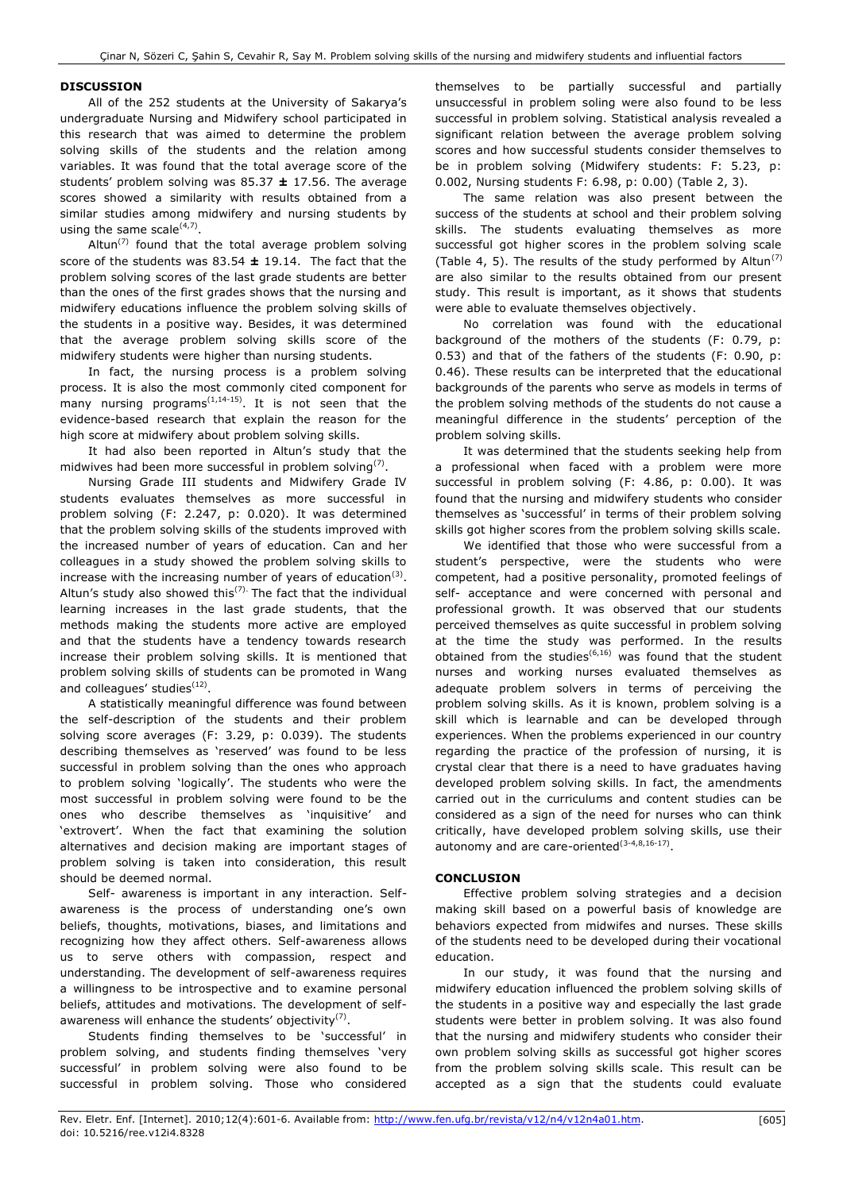## **DISCUSSION**

All of the 252 students at the University of Sakarya"s undergraduate Nursing and Midwifery school participated in this research that was aimed to determine the problem solving skills of the students and the relation among variables. It was found that the total average score of the students" problem solving was 85.37 **±** 17.56. The average scores showed a similarity with results obtained from a similar studies among midwifery and nursing students by using the same scale $(4,7)$ .

 $Altun^{(7)}$  found that the total average problem solving score of the students was 83.54 **±** 19.14. The fact that the problem solving scores of the last grade students are better than the ones of the first grades shows that the nursing and midwifery educations influence the problem solving skills of the students in a positive way. Besides, it was determined that the average problem solving skills score of the midwifery students were higher than nursing students.

In fact, the nursing process is a problem solving process. It is also the most commonly cited component for many nursing programs<sup> $(1,14-15)$ </sup>. It is not seen that the evidence-based research that explain the reason for the high score at midwifery about problem solving skills.

It had also been reported in Altun's study that the midwives had been more successful in problem solving<sup>(7)</sup>.

Nursing Grade III students and Midwifery Grade IV students evaluates themselves as more successful in problem solving (F: 2.247, p: 0.020). It was determined that the problem solving skills of the students improved with the increased number of years of education. Can and her colleagues in a study showed the problem solving skills to increase with the increasing number of years of education<sup>(3)</sup>. Altun's study also showed this<sup> $(7)$ </sup> The fact that the individual learning increases in the last grade students, that the methods making the students more active are employed and that the students have a tendency towards research increase their problem solving skills. It is mentioned that problem solving skills of students can be promoted in Wang and colleagues' studies<sup>(12)</sup>.

A statistically meaningful difference was found between the self-description of the students and their problem solving score averages (F: 3.29, p: 0.039). The students describing themselves as 'reserved' was found to be less successful in problem solving than the ones who approach to problem solving "logically". The students who were the most successful in problem solving were found to be the ones who describe themselves as "inquisitive" and 'extrovert'. When the fact that examining the solution alternatives and decision making are important stages of problem solving is taken into consideration, this result should be deemed normal.

Self- awareness is important in any interaction. Selfawareness is the process of understanding one's own beliefs, thoughts, motivations, biases, and limitations and recognizing how they affect others. Self-awareness allows us to serve others with compassion, respect and understanding. The development of self-awareness requires a willingness to be introspective and to examine personal beliefs, attitudes and motivations. The development of selfawareness will enhance the students' objectivity $(7)$ .

Students finding themselves to be "successful" in problem solving, and students finding themselves "very successful" in problem solving were also found to be successful in problem solving. Those who considered

themselves to be partially successful and partially unsuccessful in problem soling were also found to be less successful in problem solving. Statistical analysis revealed a significant relation between the average problem solving scores and how successful students consider themselves to be in problem solving (Midwifery students: F: 5.23, p: 0.002, Nursing students F: 6.98, p: 0.00) (Table 2, 3).

The same relation was also present between the success of the students at school and their problem solving skills. The students evaluating themselves as more successful got higher scores in the problem solving scale (Table 4, 5). The results of the study performed by  $\mathsf{Altun}^{(7)}$ are also similar to the results obtained from our present study. This result is important, as it shows that students were able to evaluate themselves objectively.

No correlation was found with the educational background of the mothers of the students (F: 0.79, p: 0.53) and that of the fathers of the students (F: 0.90, p: 0.46). These results can be interpreted that the educational backgrounds of the parents who serve as models in terms of the problem solving methods of the students do not cause a meaningful difference in the students' perception of the problem solving skills.

It was determined that the students seeking help from a professional when faced with a problem were more successful in problem solving (F: 4.86, p: 0.00). It was found that the nursing and midwifery students who consider themselves as "successful" in terms of their problem solving skills got higher scores from the problem solving skills scale.

We identified that those who were successful from a student"s perspective, were the students who were competent, had a positive personality, promoted feelings of self- acceptance and were concerned with personal and professional growth. It was observed that our students perceived themselves as quite successful in problem solving at the time the study was performed. In the results obtained from the studies<sup>(6,16)</sup> was found that the student nurses and working nurses evaluated themselves as adequate problem solvers in terms of perceiving the problem solving skills. As it is known, problem solving is a skill which is learnable and can be developed through experiences. When the problems experienced in our country regarding the practice of the profession of nursing, it is crystal clear that there is a need to have graduates having developed problem solving skills. In fact, the amendments carried out in the curriculums and content studies can be considered as a sign of the need for nurses who can think critically, have developed problem solving skills, use their autonomy and are care-oriented $(3-4,8,16-17)$ .

## **CONCLUSION**

Effective problem solving strategies and a decision making skill based on a powerful basis of knowledge are behaviors expected from midwifes and nurses. These skills of the students need to be developed during their vocational education.

In our study, it was found that the nursing and midwifery education influenced the problem solving skills of the students in a positive way and especially the last grade students were better in problem solving. It was also found that the nursing and midwifery students who consider their own problem solving skills as successful got higher scores from the problem solving skills scale. This result can be accepted as a sign that the students could evaluate